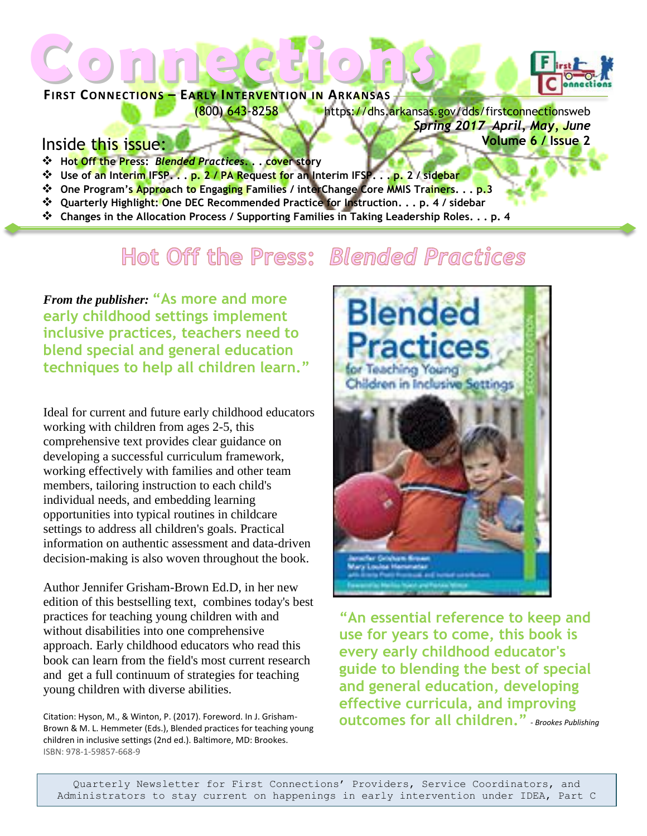# **FIRST CONNECTIONS – EARLY INTERVENTION IN ARKANSAS** Connections of Connections



(800) 643-8258 https://dhs.arkansas.gov/dds/firstconnectionsweb *Spring 2017 April, May, June*  **Volume 6 / Issue 2**

#### Inside this issue:

- ❖ **Hot Off the Press:** *Blended Practices***. . . cover story**
- ❖ **Use of an Interim IFSP. . . p. 2 / PA Request for an Interim IFSP. . . p. 2 / sidebar**
- ❖ **One Program's Approach to Engaging Families / interChange Core MMIS Trainers. . . p.3**
- ❖ **Quarterly Highlight: One DEC Recommended Practice for Instruction. . . p. 4 / sidebar**
- ❖ **Changes in the Allocation Process / Supporting Families in Taking Leadership Roles. . . p. 4**

### Hot Off the Press: Blended Practices

*From the publisher:* **"As more and more early childhood settings implement inclusive practices, teachers need to blend special and general education techniques to help all children learn."**

Ideal for current and future early childhood educators working with children from ages 2-5, this comprehensive text provides clear guidance on developing a successful curriculum framework, working effectively with families and other team members, tailoring instruction to each child's individual needs, and embedding learning opportunities into typical routines in childcare settings to address all children's goals. Practical information on authentic assessment and data-driven decision-making is also woven throughout the book.

Author Jennifer Grisham-Brown Ed.D, in her new edition of this bestselling text, combines today's best practices for teaching young children with and without disabilities into one comprehensive approach. Early childhood educators who read this book can learn from the field's most current research and get a full continuum of strategies for teaching young children with diverse abilities.

Citation: Hyson, M., & Winton, P. (2017). Foreword. In J. Grisham-Brown & M. L. Hemmeter (Eds.), Blended practices for teaching young children in inclusive settings (2nd ed.). Baltimore, MD: Brookes. ISBN: 978-1-59857-668-9



**"An essential reference to keep and use for years to come, this book is every early childhood educator's guide to blending the best of special and general education, developing effective curricula, and improving outcomes for all children."** *- Brookes Publishing*

Quarterly Newsletter for First Connections' Providers, Service Coordinators, and Administrators to stay current on happenings in early intervention under IDEA, Part C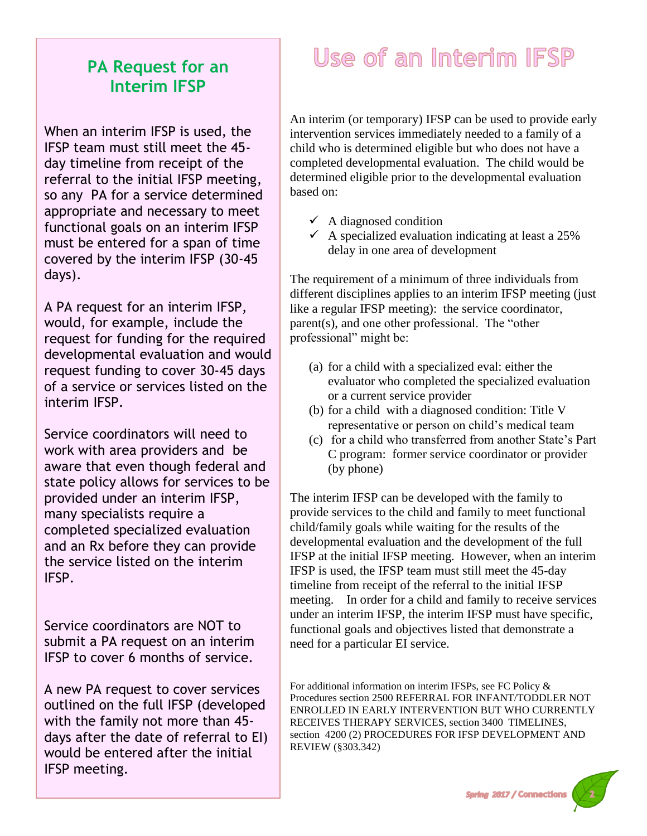### **PA Request for an Interim IFSP**

When an interim IFSP is used, the IFSP team must still meet the 45 day timeline from receipt of the referral to the initial IFSP meeting, so any PA for a service determined appropriate and necessary to meet functional goals on an interim IFSP must be entered for a span of time covered by the interim IFSP (30-45 days).

A PA request for an interim IFSP, would, for example, include the request for funding for the required developmental evaluation and would request funding to cover 30-45 days of a service or services listed on the interim IFSP.

Service coordinators will need to work with area providers and be aware that even though federal and state policy allows for services to be provided under an interim IFSP, many specialists require a completed specialized evaluation and an Rx before they can provide the service listed on the interim IFSP.

Service coordinators are NOT to submit a PA request on an interim IFSP to cover 6 months of service.

A new PA request to cover services outlined on the full IFSP (developed with the family not more than 45 days after the date of referral to EI) would be entered after the initial IFSP meeting.

## Use of an Interim IFSP

An interim (or temporary) IFSP can be used to provide early intervention services immediately needed to a family of a child who is determined eligible but who does not have a completed developmental evaluation. The child would be determined eligible prior to the developmental evaluation based on:

- $\checkmark$  A diagnosed condition
- $\checkmark$  A specialized evaluation indicating at least a 25% delay in one area of development

The requirement of a minimum of three individuals from different disciplines applies to an interim IFSP meeting (just like a regular IFSP meeting): the service coordinator, parent(s), and one other professional. The "other professional" might be:

- (a) for a child with a specialized eval: either the evaluator who completed the specialized evaluation or a current service provider
- (b) for a child with a diagnosed condition: Title V representative or person on child's medical team
- (c) for a child who transferred from another State's Part C program: former service coordinator or provider (by phone)

The interim IFSP can be developed with the family to provide services to the child and family to meet functional child/family goals while waiting for the results of the developmental evaluation and the development of the full IFSP at the initial IFSP meeting. However, when an interim IFSP is used, the IFSP team must still meet the 45-day timeline from receipt of the referral to the initial IFSP meeting. In order for a child and family to receive services under an interim IFSP, the interim IFSP must have specific, functional goals and objectives listed that demonstrate a need for a particular EI service.

For additional information on interim IFSPs, see FC Policy & Procedures section 2500 REFERRAL FOR INFANT/TODDLER NOT ENROLLED IN EARLY INTERVENTION BUT WHO CURRENTLY RECEIVES THERAPY SERVICES, section 3400 TIMELINES, section 4200 (2) PROCEDURES FOR IFSP DEVELOPMENT AND REVIEW (§303.342)

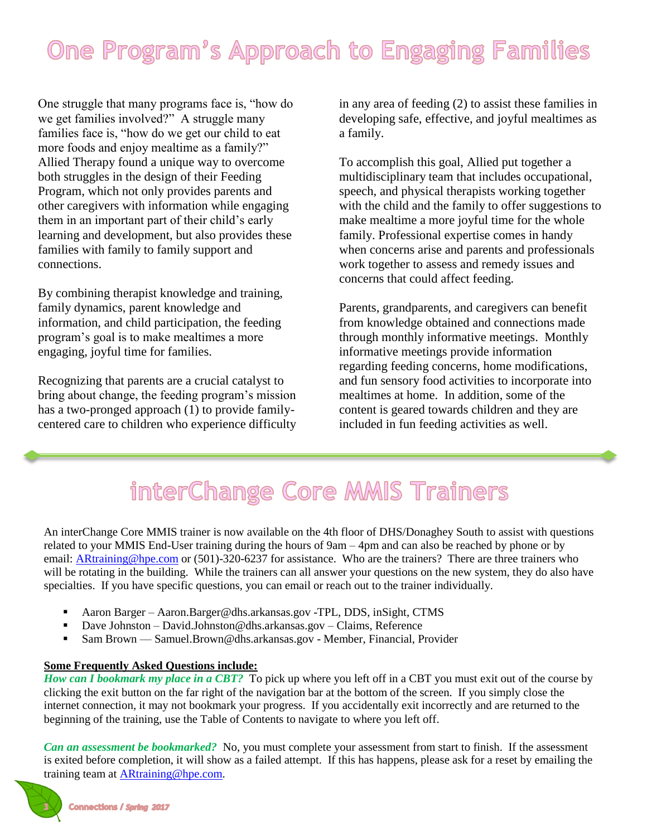## One Program's Approach to Engaging Families

One struggle that many programs face is, "how do we get families involved?" A struggle many families face is, "how do we get our child to eat more foods and enjoy mealtime as a family?" Allied Therapy found a unique way to overcome both struggles in the design of their Feeding Program, which not only provides parents and other caregivers with information while engaging them in an important part of their child's early learning and development, but also provides these families with family to family support and connections.

By combining therapist knowledge and training, family dynamics, parent knowledge and information, and child participation, the feeding program's goal is to make mealtimes a more engaging, joyful time for families.

Recognizing that parents are a crucial catalyst to bring about change, the feeding program's mission has a two-pronged approach (1) to provide familycentered care to children who experience difficulty

in any area of feeding (2) to assist these families in developing safe, effective, and joyful mealtimes as a family.

To accomplish this goal, Allied put together a multidisciplinary team that includes occupational, speech, and physical therapists working together with the child and the family to offer suggestions to make mealtime a more joyful time for the whole family. Professional expertise comes in handy when concerns arise and parents and professionals work together to assess and remedy issues and concerns that could affect feeding.

Parents, grandparents, and caregivers can benefit from knowledge obtained and connections made through monthly informative meetings. Monthly informative meetings provide information regarding feeding concerns, home modifications, and fun sensory food activities to incorporate into mealtimes at home. In addition, some of the content is geared towards children and they are included in fun feeding activities as well.

## interChange Core MMIS Trainers

An interChange Core MMIS trainer is now available on the 4th floor of DHS/Donaghey South to assist with questions related to your MMIS End-User training during the hours of 9am – 4pm and can also be reached by phone or by email: [ARtraining@hpe.com](mailto:ARtraining@hpe.com) or (501)-320-6237 for assistance. Who are the trainers? There are three trainers who will be rotating in the building. While the trainers can all answer your questions on the new system, they do also have specialties. If you have specific questions, you can email or reach out to the trainer individually.

- Aaron Barger Aaron.Barger@dhs.arkansas.gov -TPL, DDS, inSight, CTMS
- Dave Johnston David.Johnston@dhs.arkansas.gov Claims, Reference
- Sam Brown Samuel.Brown@dhs.arkansas.gov Member, Financial, Provider

#### **Some Frequently Asked Questions include:**

*How can I bookmark my place in a CBT?* To pick up where you left off in a CBT you must exit out of the course by clicking the exit button on the far right of the navigation bar at the bottom of the screen. If you simply close the internet connection, it may not bookmark your progress. If you accidentally exit incorrectly and are returned to the beginning of the training, use the Table of Contents to navigate to where you left off.

*Can an assessment be bookmarked?* No, you must complete your assessment from start to finish. If the assessment is exited before completion, it will show as a failed attempt. If this has happens, please ask for a reset by emailing the training team at [ARtraining@hpe.com.](mailto:ARtraining@hpe.com)